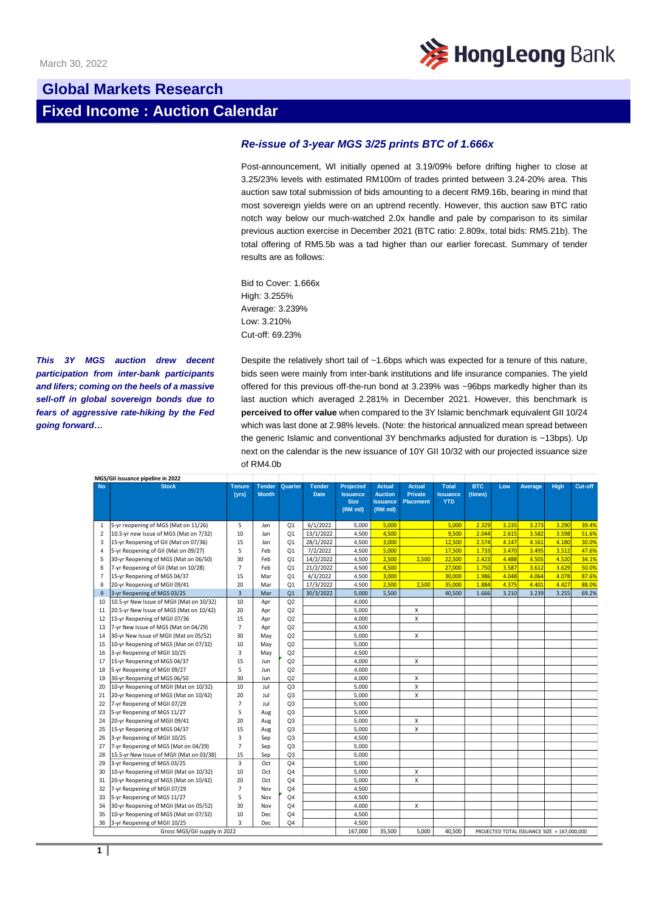

## **Global Markets Research Fixed Income : Auction Calendar**

## *Re-issue of 3-year MGS 3/25 prints BTC of 1.666x*

Post-announcement, WI initially opened at 3.19/09% before drifting higher to close at 3.25/23% levels with estimated RM100m of trades printed between 3.24-20% area. This auction saw total submission of bids amounting to a decent RM9.16b, bearing in mind that most sovereign yields were on an uptrend recently. However, this auction saw BTC ratio notch way below our much-watched 2.0x handle and pale by comparison to its similar previous auction exercise in December 2021 (BTC ratio: 2.809x, total bids: RM5.21b). The total offering of RM5.5b was a tad higher than our earlier forecast. Summary of tender results are as follows:

Bid to Cover: 1.666x High: 3.255% Average: 3.239% Low: 3.210% Cut-off: 69.23%

*This 3Y MGS auction drew decent participation from inter-bank participants and lifers; coming on the heels of a massive sell-off in global sovereign bonds due to fears of aggressive rate-hiking by the Fed going forward…*

Despite the relatively short tail of ~1.6bps which was expected for a tenure of this nature, bids seen were mainly from inter-bank institutions and life insurance companies. The yield offered for this previous off-the-run bond at 3.239% was ~96bps markedly higher than its last auction which averaged 2.281% in December 2021. However, this benchmark is **perceived to offer value** when compared to the 3Y Islamic benchmark equivalent GII 10/24 which was last done at 2.98% levels. (Note: the historical annualized mean spread between the generic Islamic and conventional 3Y benchmarks adjusted for duration is ~13bps). Up next on the calendar is the new issuance of 10Y GII 10/32 with our projected issuance size of RM4.0b

|                              | MGS/GII issuance pipeline in 2022        |                        |                               |                |                              |                                                                |                                                                |                                                     |                                               |                                             |       |         |             |         |
|------------------------------|------------------------------------------|------------------------|-------------------------------|----------------|------------------------------|----------------------------------------------------------------|----------------------------------------------------------------|-----------------------------------------------------|-----------------------------------------------|---------------------------------------------|-------|---------|-------------|---------|
| <b>No</b>                    | <b>Stock</b>                             | <b>Tenure</b><br>(yrs) | <b>Tender</b><br><b>Month</b> | Quarter        | <b>Tender</b><br><b>Date</b> | <b>Projected</b><br><b>Issuance</b><br><b>Size</b><br>(RM mil) | <b>Actual</b><br><b>Auction</b><br><b>Issuance</b><br>(RM mil) | <b>Actual</b><br><b>Private</b><br><b>Placement</b> | <b>Total</b><br><b>Issuance</b><br><b>YTD</b> | <b>BTC</b><br>(times)                       | Low   | Average | <b>High</b> | Cut-off |
| $\mathbf{1}$                 | 5-yr reopening of MGS (Mat on 11/26)     | 5                      | Jan                           | Q1             | 6/1/2022                     | 5,000                                                          | 5,000                                                          |                                                     | 5,000                                         | 2.329                                       | 3.235 | 3.273   | 3.290       | 39.4%   |
| 2                            | 10.5-yr new Issue of MGS (Mat on 7/32)   | 10                     | Jan                           | Q <sub>1</sub> | 13/1/2022                    | 4,500                                                          | 4,500                                                          |                                                     | 9,500                                         | 2.044                                       | 2.615 | 3.582   | 3.598       | 51.6%   |
| 3                            | 15-yr Reopening of GII (Mat on 07/36)    | 15                     | Jan                           | Q <sub>1</sub> | 28/1/2022                    | 4,500                                                          | 3,000                                                          |                                                     | 12,500                                        | 2.574                                       | 4.147 | 4.161   | 4.180       | 30.0%   |
| 4                            | 5-yr Reopening of GII (Mat on 09/27)     | 5                      | Feb                           | Q <sub>1</sub> | 7/2/2022                     | 4.500                                                          | 5.000                                                          |                                                     | 17,500                                        | 1.733                                       | 3.470 | 3.495   | 3.512       | 47.6%   |
| 5                            | 30-yr Reopening of MGS (Mat on 06/50)    | 30                     | Feb                           | O <sub>1</sub> | 14/2/2022                    | 4,500                                                          | 2,500                                                          | 2,500                                               | 22,500                                        | 2.423                                       | 4.488 | 4.505   | 4.520       | 34.1%   |
| 6                            | 7-yr Reopening of GII (Mat on 10/28)     | $\overline{7}$         | Feb                           | Q <sub>1</sub> | 21/2/2022                    | 4,500                                                          | 4,500                                                          |                                                     | 27,000                                        | 1.750                                       | 3.587 | 3.612   | 3.629       | 50.0%   |
| $\overline{7}$               | 15-yr Reopening of MGS 04/37             | 15                     | Mar                           | Q <sub>1</sub> | 4/3/2022                     | 4,500                                                          | 3,000                                                          |                                                     | 30,000                                        | 1.986                                       | 4.048 | 4.064   | 4.078       | 87.6%   |
| 8                            | 20-yr Reopening of MGII 09/41            | 20                     | Mar                           | Q <sub>1</sub> | 17/3/2022                    | 4,500                                                          | 2,500                                                          | 2,500                                               | 35,000                                        | 1.884                                       | 4.375 | 4.401   | 4.427       | 88.0%   |
| 9                            | 3-yr Reopening of MGS 03/25              | $\overline{3}$         | Mar                           | Q <sub>1</sub> | 30/3/2022                    | 5,000                                                          | 5,500                                                          |                                                     | 40,500                                        | 1.666                                       | 3.210 | 3.239   | 3.255       | 69.2%   |
| 10                           | 10.5-yr New Issue of MGII (Mat on 10/32) | 10                     | Apr                           | Q2             |                              | 4.000                                                          |                                                                |                                                     |                                               |                                             |       |         |             |         |
| 11                           | 20.5-yr New Issue of MGS (Mat on 10/42)  | 20                     | Apr                           | Q2             |                              | 5,000                                                          |                                                                | X                                                   |                                               |                                             |       |         |             |         |
| 12                           | 15-yr Reopening of MGII 07/36            | 15                     | Apr                           | Q2             |                              | 4,000                                                          |                                                                | $\pmb{\mathsf{X}}$                                  |                                               |                                             |       |         |             |         |
| 13                           | 7-yr New Issue of MGS (Mat on 04/29)     | $\overline{7}$         | Apr                           | Q2             |                              | 4,500                                                          |                                                                |                                                     |                                               |                                             |       |         |             |         |
| 14                           | 30-yr New Issue of MGII (Mat on 05/52)   | 30                     | May                           | Q2             |                              | 5,000                                                          |                                                                | X                                                   |                                               |                                             |       |         |             |         |
| 15                           | 10-yr Reopening of MGS (Mat on 07/32)    | 10                     | May                           | Q2             |                              | 5,000                                                          |                                                                |                                                     |                                               |                                             |       |         |             |         |
| 16                           | 3-yr Reopening of MGII 10/25             | 3                      | May                           | Q2             |                              | 4,500                                                          |                                                                |                                                     |                                               |                                             |       |         |             |         |
| 17                           | 15-yr Reopening of MGS 04/37             | 15                     | Jun                           | Q2             |                              | 4.000                                                          |                                                                | X                                                   |                                               |                                             |       |         |             |         |
| 18                           | 5-yr Reopening of MGII 09/27             | 5                      | Jun                           | Q2             |                              | 4,000                                                          |                                                                |                                                     |                                               |                                             |       |         |             |         |
| 19                           | 30-yr Reopening of MGS 06/50             | 30                     | Jun                           | Q2             |                              | 4,000                                                          |                                                                | X                                                   |                                               |                                             |       |         |             |         |
| 20                           | 10-yr Reopening of MGII (Mat on 10/32)   | 10                     | Jul                           | Q3             |                              | 5,000                                                          |                                                                | $\mathsf{x}$                                        |                                               |                                             |       |         |             |         |
| 21                           | 20-yr Reopening of MGS (Mat on 10/42)    | 20                     | Jul                           | Q <sub>3</sub> |                              | 5,000                                                          |                                                                | X                                                   |                                               |                                             |       |         |             |         |
| 22                           | 7-yr Reopening of MGII 07/29             | $\overline{7}$         | Jul                           | Q3             |                              | 5.000                                                          |                                                                |                                                     |                                               |                                             |       |         |             |         |
| 23                           | 5-yr Reopening of MGS 11/27              | 5                      | Aug                           | Q <sub>3</sub> |                              | 5.000                                                          |                                                                |                                                     |                                               |                                             |       |         |             |         |
| 24                           | 20-yr Reopening of MGII 09/41            | 20                     | Aug                           | Q <sub>3</sub> |                              | 5,000                                                          |                                                                | X                                                   |                                               |                                             |       |         |             |         |
| 25                           | 15-yr Reopening of MGS 04/37             | 15                     | Aug                           | Q3             |                              | 5,000                                                          |                                                                | $\mathsf{x}$                                        |                                               |                                             |       |         |             |         |
| 26                           | 3-yr Reopening of MGII 10/25             | 3                      | Sep                           | Q <sub>3</sub> |                              | 4,500                                                          |                                                                |                                                     |                                               |                                             |       |         |             |         |
| 27                           | 7-yr Reopening of MGS (Mat on 04/29)     | $\overline{7}$         | Sep                           | Q <sub>3</sub> |                              | 5,000                                                          |                                                                |                                                     |                                               |                                             |       |         |             |         |
| 28                           | 15.5-yr New Issue of MGII (Mat on 03/38) | 15                     | Sep                           | Q3             |                              | 5,000                                                          |                                                                |                                                     |                                               |                                             |       |         |             |         |
| 29                           | 3-yr Reopening of MGS 03/25              | $\overline{3}$         | Oct                           | Q <sub>4</sub> |                              | 5,000                                                          |                                                                |                                                     |                                               |                                             |       |         |             |         |
| 30                           | 10-yr Reopening of MGII (Mat on 10/32)   | 10                     | Oct                           | Q <sub>4</sub> |                              | 5.000                                                          |                                                                | X                                                   |                                               |                                             |       |         |             |         |
| 31                           | 20-yr Reopening of MGS (Mat on 10/42)    | 20                     | Oct                           | Q <sub>4</sub> |                              | 5,000                                                          |                                                                | X                                                   |                                               |                                             |       |         |             |         |
| 32                           | 7-yr Reopening of MGII 07/29             | $\overline{7}$         | Nov                           | Q <sub>4</sub> |                              | 4,500                                                          |                                                                |                                                     |                                               |                                             |       |         |             |         |
| 33                           | 5-yr Reopening of MGS 11/27              | 5                      | Nov                           | Q <sub>4</sub> |                              | 4.500                                                          |                                                                |                                                     |                                               |                                             |       |         |             |         |
| 34                           | 30-yr Reopening of MGII (Mat on 05/52)   | 30                     | Nov                           | Q <sub>4</sub> |                              | 4,000                                                          |                                                                | X                                                   |                                               |                                             |       |         |             |         |
| 35                           | 10-yr Reopening of MGS (Mat on 07/32)    | 10                     | Dec                           | Q <sub>4</sub> |                              | 4.500                                                          |                                                                |                                                     |                                               |                                             |       |         |             |         |
| 36                           | 3-yr Reopening of MGII 10/25             | 3                      | Dec                           | Q <sub>4</sub> |                              | 4,500                                                          |                                                                |                                                     |                                               |                                             |       |         |             |         |
| Gross MGS/GII supply in 2022 |                                          |                        |                               |                |                              |                                                                | 35.500                                                         | 5.000                                               | 40.500                                        | PROJECTED TOTAL ISSUANCE SIZE = 167,000,000 |       |         |             |         |